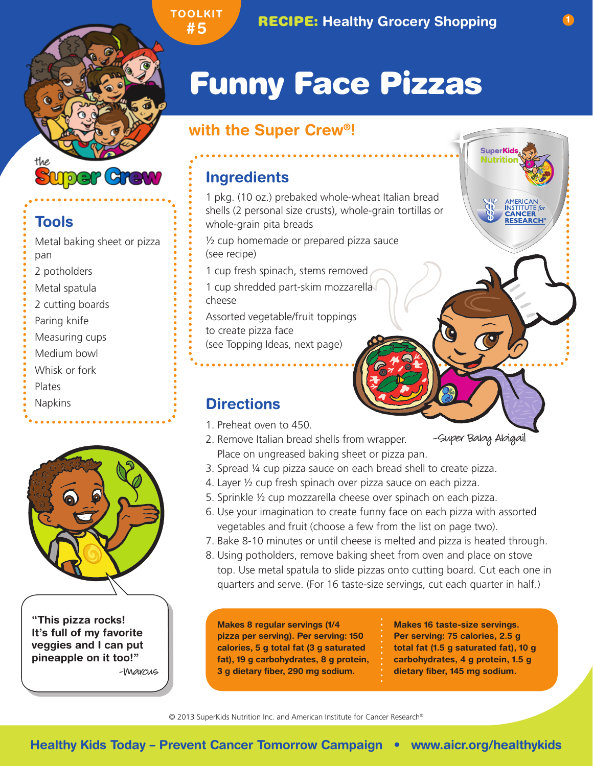

## Tools

Metal baking sheet or pizza pan 2 potholders

- Metal spatula
- 2 cutting boards
- Paring knife
- Measuring cups
- Medium bowl
- Whisk or fork
- Plates
- Napkins



"This pizza rocks! It's full of my favorite veggies and I can put pineapple on it too!"

–Marcus

# Funny Face Pizzas

### with the Super Crew®!

#### Ingredients

- 1 pkg. (10 oz.) prebaked whole-wheat Italian bread shells (2 personal size crusts), whole-grain tortillas or whole-grain pita breads
- ½ cup homemade or prepared pizza sauce (see recipe)
- 1 cup fresh spinach, stems removed
- 1 cup shredded part-skim mozzarella cheese
- Assorted vegetable/fruit toppings
- to create pizza face
- (see Topping Ideas, next page)

### **Directions**

- 1. Preheat oven to 450.
- 2. Nerriove it<br>Place on u 2. Remove Italian bread shells from wrapper. Place on ungreased baking sheet or pizza pan. —Super Baby Abigail
	- 3. Spread ¼ cup pizza sauce on each bread shell to create pizza.
- **Power:** 4. Layer ½ cup fresh spinach over pizza sauce on each pizza.
- *Heals and makes heat.* 5. Sprinkle ½ cup mozzarella cheese over spinach on each pizza.
- **Power Foods:**  6. Use your imagination to create funny face on each pizza with assorted *Yellow foods like lemons,*  vegetables and fruit (choose a few from the list on page two).
- *pineapples and*  7. Bake 8-10 minutes or until cheese is melted and pizza is heated through.
- *y* is sake one minimized or small energies is melled and place is heated allocally top. Use metal spatula to slide pizzas onto cutting board. Cut each one in quarters and serve. (For 16 taste-size servings, cut each quarter in half.)

Makes 8 regular servings (1/4 pizza per serving). Per serving: 150 calories, 5 g total fat (3 g saturated fat), 19 g carbohydrates, 8 g protein, 3 g dietary fiber, 290 mg sodium.

Makes 16 taste-size servings. Per serving: 75 calories, 2.5 g total fat (1.5 g saturated fat), 10 g carbohydrates, 4 g protein, 1.5 g dietary fiber, 145 mg sodium.

© 2013 SuperKids Nutrition Inc. and American Institute for Cancer Research®

**SuperKids** 

**INSTITUTE fo CANCER RESEARCH®**